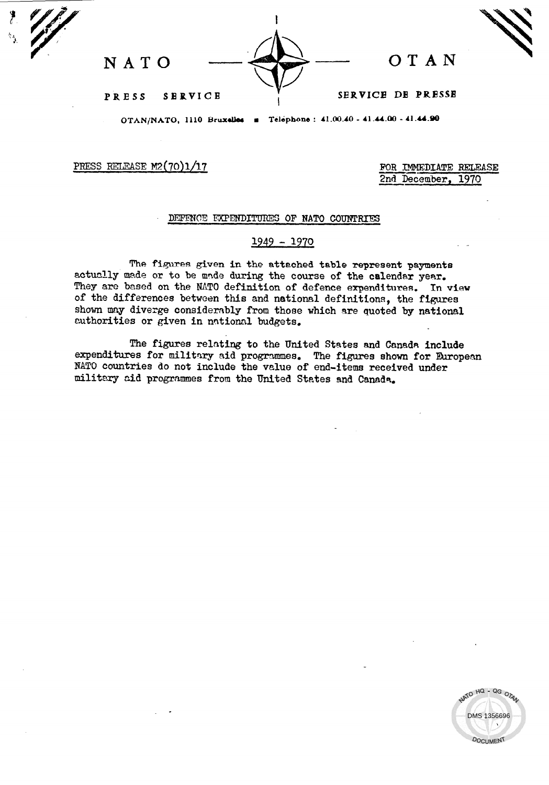

OTAN/NATO, 1110 Bruxelles **a** Telephone : 41.00.40 - 41.44.00 - 41.44.90

PRESS RELEASE  $M2(70)1/17$  FOR IMMEDIATE RELEASE

2nd December, 1970

## DEFENCE EXPENDITURES OF NATO COUNTRIES

## 1949 - 1970

The figures given in the attached table represent payments actually made or to be made during the course of the calendar year. They are based on the NATO definition of defence expenditures. In view of the differences between this and national definitions, the figures shown may diverge considerably from those which are quoted by national authorities or given in national budgets,

The figures relating to the United States and Canada include expenditures for military aid programmes. The figures shown for European NATO countries do not include the value of end-items received under military cid programmes from the United States and Canads.